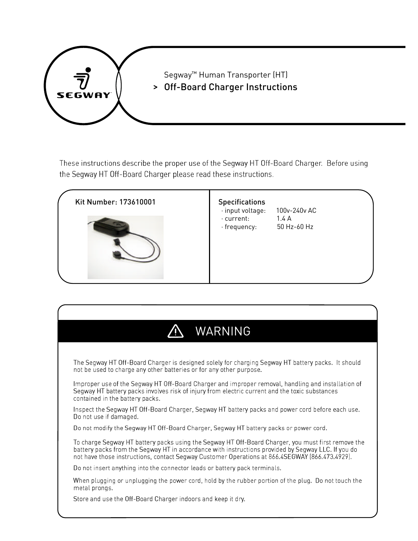

These instructions describe the proper use of the Segway HT Off-Board Charger. Before using the Segway HT Off-Board Charger please read these instructions.



| The Segway HT Off-Board Charger is designed solely for charging Segway HT battery packs. It should<br>not be used to charge any other batteries or for any other purpose.<br>Segway HT battery packs involves risk of injury from electric current and the toxic substances<br>contained in the battery packs.<br>Do not use if damaged.<br>Do not modify the Segway HT Off-Board Charger, Segway HT battery packs or power cord.<br>battery packs from the Segway HT in accordance with instructions provided by Segway LLC. If you do<br>not have those instructions, contact Segway Customer Operations at 866.4SEGWAY (866.473.4929).<br>Do not insert anything into the connector leads or battery pack terminals.<br>metal prongs.<br>Store and use the Off-Board Charger indoors and keep it dry. |                                                                                                      |                                                                                                    |  |  |
|----------------------------------------------------------------------------------------------------------------------------------------------------------------------------------------------------------------------------------------------------------------------------------------------------------------------------------------------------------------------------------------------------------------------------------------------------------------------------------------------------------------------------------------------------------------------------------------------------------------------------------------------------------------------------------------------------------------------------------------------------------------------------------------------------------|------------------------------------------------------------------------------------------------------|----------------------------------------------------------------------------------------------------|--|--|
|                                                                                                                                                                                                                                                                                                                                                                                                                                                                                                                                                                                                                                                                                                                                                                                                          |                                                                                                      | WARNING                                                                                            |  |  |
|                                                                                                                                                                                                                                                                                                                                                                                                                                                                                                                                                                                                                                                                                                                                                                                                          |                                                                                                      |                                                                                                    |  |  |
|                                                                                                                                                                                                                                                                                                                                                                                                                                                                                                                                                                                                                                                                                                                                                                                                          |                                                                                                      |                                                                                                    |  |  |
|                                                                                                                                                                                                                                                                                                                                                                                                                                                                                                                                                                                                                                                                                                                                                                                                          |                                                                                                      | Improper use of the Segway HT Off-Board Charger and improper removal, handling and installation of |  |  |
|                                                                                                                                                                                                                                                                                                                                                                                                                                                                                                                                                                                                                                                                                                                                                                                                          | Inspect the Segway HT Off-Board Charger, Segway HT battery packs and power cord before each use.     |                                                                                                    |  |  |
|                                                                                                                                                                                                                                                                                                                                                                                                                                                                                                                                                                                                                                                                                                                                                                                                          |                                                                                                      |                                                                                                    |  |  |
|                                                                                                                                                                                                                                                                                                                                                                                                                                                                                                                                                                                                                                                                                                                                                                                                          | To charge Segway HT battery packs using the Segway HT Off-Board Charger, you must first remove the   |                                                                                                    |  |  |
|                                                                                                                                                                                                                                                                                                                                                                                                                                                                                                                                                                                                                                                                                                                                                                                                          |                                                                                                      |                                                                                                    |  |  |
|                                                                                                                                                                                                                                                                                                                                                                                                                                                                                                                                                                                                                                                                                                                                                                                                          | When plugging or unplugging the power cord, hold by the rubber portion of the plug. Do not touch the |                                                                                                    |  |  |
|                                                                                                                                                                                                                                                                                                                                                                                                                                                                                                                                                                                                                                                                                                                                                                                                          |                                                                                                      |                                                                                                    |  |  |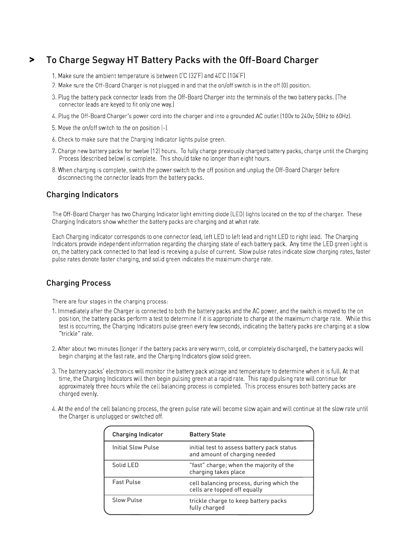#### $\blacktriangleright$ To Charge Segway HT Battery Packs with the Off-Board Charger

- 1. Make sure the ambient temperature is between 0°C (32°F) and 40°C (104°F)
- 2. Make sure the Off-Board Charger is not plugged in and that the on/off switch is in the off (0) position.
- 3. Plug the battery pack connector leads from the Off-Board Charger into the terminals of the two battery packs. (The connector leads are keyed to fit only one way.)
- 4. Plug the Off-Board Charger's power cord into the charger and into a grounded AC outlet (100v to 240v; 50Hz to 60Hz).
- 5. Move the on/off switch to the on position [-].
- 6. Check to make sure that the Charging Indicator lights pulse green.
- 7. Charge new battery packs for twelve (12) hours. To fully charge previously charged battery packs, charge until the Charging Process (described below) is complete. This should take no longer than eight hours.
- 8. When charging is complete, switch the power switch to the off position and unplug the Off-Board Charger before disconnecting the connector leads from the battery packs.

### **Charging Indicators**

The Off-Board Charger has two Charging Indicator light emitting diode (LED) lights located on the top of the charger. These Charging Indicators show whether the battery packs are charging and at what rate.

Each Charging Indicator corresponds to one connector lead, left LED to left lead and right LED to right lead. The Charging Indicators provide independent information regarding the charging state of each battery pack. Any time the LED green light is on, the battery pack connected to that lead is receiving a pulse of current. Slow pulse rates indicate slow charging rates, faster pulse rates denote faster charging, and solid green indicates the maximum charge rate.

## **Charging Process**

There are four stages in the charging process:

- 1. Immediately after the Charger is connected to both the battery packs and the AC power, and the switch is moved to the on position, the battery packs perform a test to determine if it is appropriate to charge at the maximum charge rate. While this test is occurring, the Charging Indicators pulse green every few seconds, indicating the battery packs are charging at a slow "trickle" rate.
- 2. After about two minutes (longer if the battery packs are very warm, cold, or completely discharged), the battery packs will begin charging at the fast rate, and the Charging Indicators glow solid green.
- 3. The battery packs' electronics will monitor the battery pack voltage and temperature to determine when it is full. At that time, the Charging Indicators will then begin pulsing green at a rapid rate. This rapid pulsing rate will continue for approximately three hours while the cell balancing process is completed. This process ensures both battery packs are charged evenly.
- 4. At the end of the cell balancing process, the green pulse rate will become slow again and will continue at the slow rate until the Charger is unplugged or switched off.

| <b>Charging Indicator</b> | <b>Battery State</b>                                                        |
|---------------------------|-----------------------------------------------------------------------------|
| Initial Slow Pulse        | initial test to assess battery pack status<br>and amount of charging needed |
| Solid LED                 | "fast" charge; when the majority of the<br>charging takes place             |
| <b>Fast Pulse</b>         | cell balancing process, during which the<br>cells are topped off equally    |
| Slow Pulse                | trickle charge to keep battery packs<br>fully charged                       |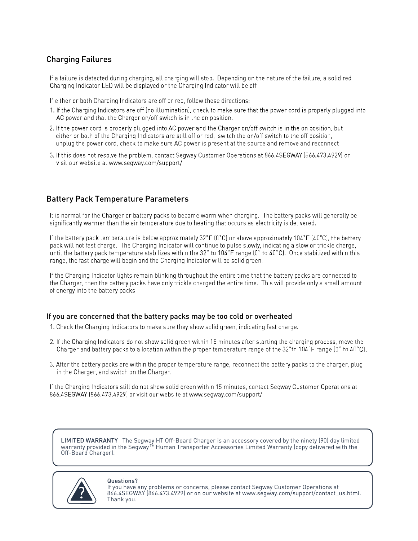## Charging Failures

If a failure is detected during charging, all charging will stop. Depending on the nature of the failure, a solid red Charging Indicator LED will be displayed or the Charging Indicator will be off.

If either or both Charging Indicators are off or red, follow these directions:

- 1. If the Charging Indicators are off (no illumination), check to make sure that the power cord is properly plugged into AC power and that the Charger on/off switch is in the on position.
- 2. If the power cord is properly plugged into AC power and the Charger on/off switch is in the on position, but either or both of the Charging Indicators are still off or red, switch the on/off switch to the off position, unplug the power cord, check to make sure AC power is present at the source and remove and reconnect
- 3. If this does not resolve the problem, contact Seqway Customer Operations at 866.4SEGWAY (866.473.4929) or visit our website at www.seqway.com/support/.

## Battery Pack Temperature Parameters

It is normal for the Charger or battery packs to become warm when charging. The battery packs will generally be significantly warmer than the air temperature due to heating that occurs as electricity is delivered.

If the battery pack temperature is below approximately 32°F (0°C) or above approximately 104°F (40°C), the battery pack will not fast charge. The Charging Indicator will continue to pulse slowly, indicating a slow or trickle charge. until the battery pack temperature stabilizes within the 32° to 104°F range (0° to 40°C). Once stabilized within this range, the fast charge will begin and the Charging Indicator will be solid green.

If the Charging Indicator lights remain blinking throughout the entire time that the battery packs are connected to the Charger, then the battery packs have only trickle charged the entire time. This will provide only a small amount of energy into the battery packs.

#### If you are concerned that the battery packs may be too cold or overheated

- 1. Check the Charging Indicators to make sure they show solid green, indicating fast charge.
- 2. If the Charging Indicators do not show solid green within 15 minutes after starting the charging process, move the Charger and battery packs to a location within the proper temperature range of the 32° to 104°F range (0° to 40°C).
- 3. After the battery packs are within the proper temperature range, reconnect the battery packs to the charger, plug in the Charger, and switch on the Charger.

If the Charging Indicators still do not show solid green within 15 minutes, contact Segway Customer Operations at 866.4SEGWAY (866.473.4929) or visit our website at www.segway.com/support/.

LIMITED WARRANTY The Segway HT Off-Board Charger is an accessory covered by the ninety (90) day limited warranty provided in the Segway  $^{\text{\tiny{\textsf{TM}}}}$  Human Transporter Accessories Limited Warranty (copy delivered with the Off-Board Charger).



#### Questions?

If you have any problems or concerns, please contact Segway Customer Operations at 866.4SEGWAY (866.473.4929) or on our website at www.segway.com/support/contact\_us.html. Thank you.